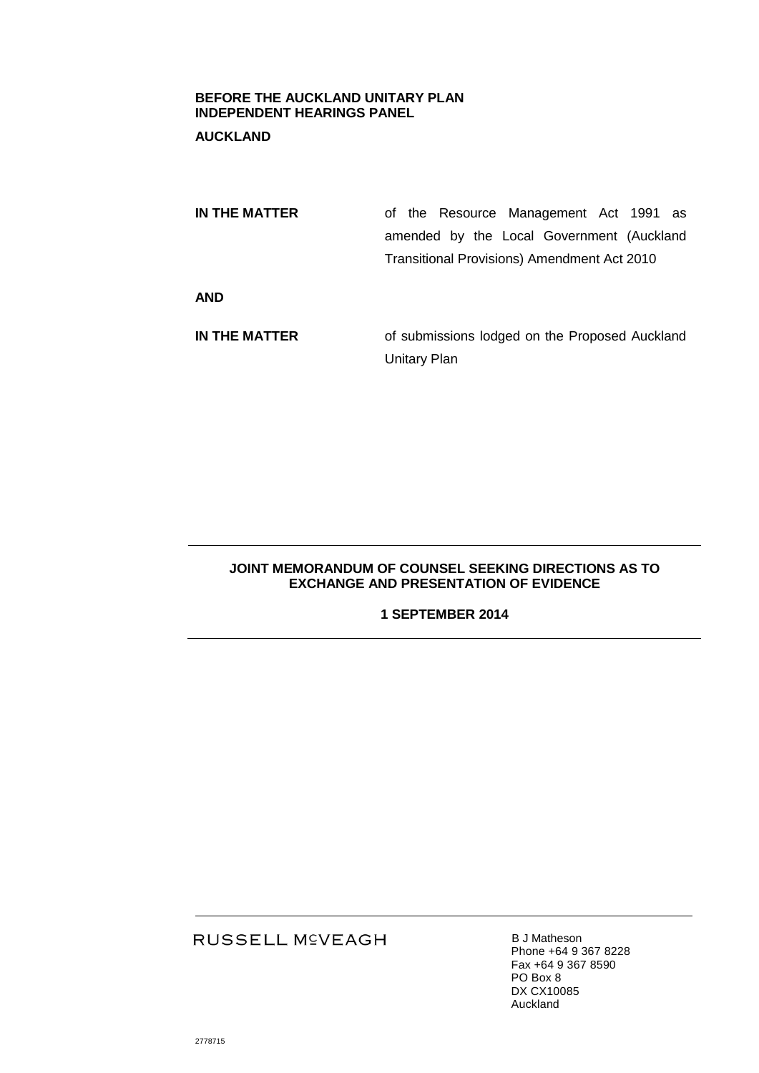#### **BEFORE THE AUCKLAND UNITARY PLAN INDEPENDENT HEARINGS PANEL**

# **AUCKLAND**

| IN THE MATTER | of the Resource Management Act 1991 as             |
|---------------|----------------------------------------------------|
|               | amended by the Local Government (Auckland          |
|               | <b>Transitional Provisions) Amendment Act 2010</b> |
| <b>AND</b>    |                                                    |
| IN THE MATTER | of submissions lodged on the Proposed Auckland     |
|               | <b>Unitary Plan</b>                                |

## **JOINT MEMORANDUM OF COUNSEL SEEKING DIRECTIONS AS TO EXCHANGE AND PRESENTATION OF EVIDENCE**

### **1 SEPTEMBER 2014**

# RUSSELL M<sup>C</sup>VEAGH

**B J Matheson** Phone +64 9 367 8228 Fax +64 9 367 8590 PO Box 8 DX CX10085 Auckland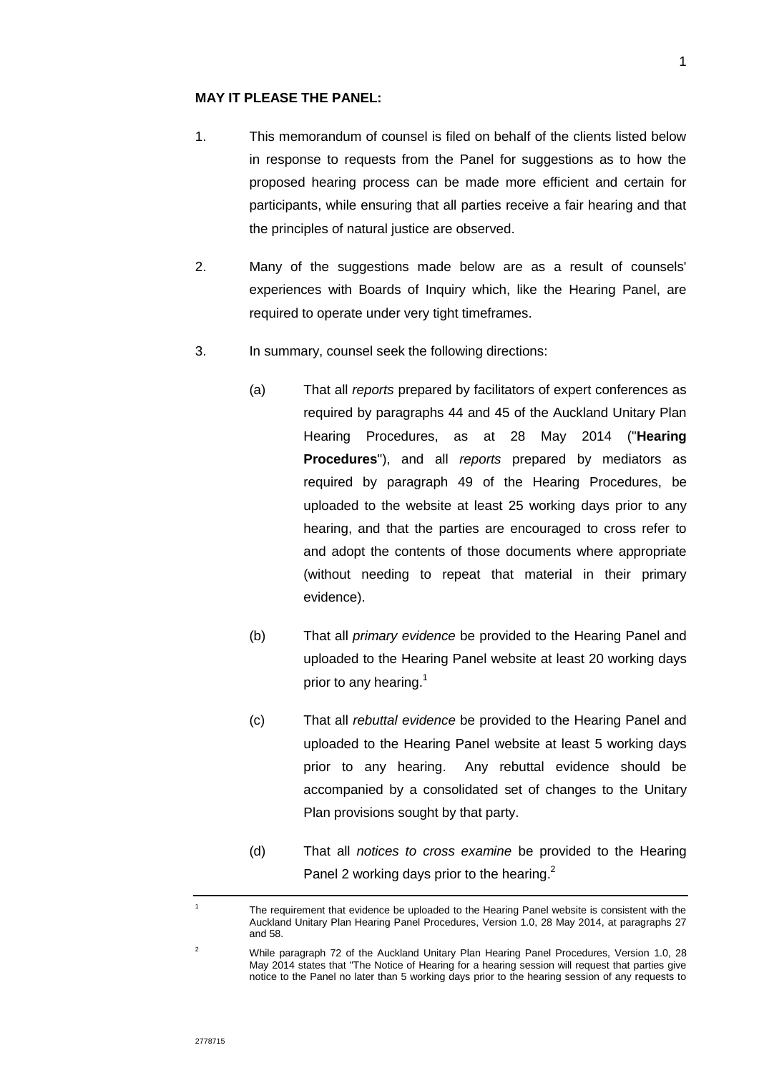#### **MAY IT PLEASE THE PANEL:**

- 1. This memorandum of counsel is filed on behalf of the clients listed below in response to requests from the Panel for suggestions as to how the proposed hearing process can be made more efficient and certain for participants, while ensuring that all parties receive a fair hearing and that the principles of natural justice are observed.
- 2. Many of the suggestions made below are as a result of counsels' experiences with Boards of Inquiry which, like the Hearing Panel, are required to operate under very tight timeframes.
- 3. In summary, counsel seek the following directions:
	- (a) That all *reports* prepared by facilitators of expert conferences as required by paragraphs 44 and 45 of the Auckland Unitary Plan Hearing Procedures, as at 28 May 2014 ("**Hearing Procedures**"), and all *reports* prepared by mediators as required by paragraph 49 of the Hearing Procedures, be uploaded to the website at least 25 working days prior to any hearing, and that the parties are encouraged to cross refer to and adopt the contents of those documents where appropriate (without needing to repeat that material in their primary evidence).
	- (b) That all *primary evidence* be provided to the Hearing Panel and uploaded to the Hearing Panel website at least 20 working days prior to any hearing.<sup>1</sup>
	- (c) That all *rebuttal evidence* be provided to the Hearing Panel and uploaded to the Hearing Panel website at least 5 working days prior to any hearing. Any rebuttal evidence should be accompanied by a consolidated set of changes to the Unitary Plan provisions sought by that party.
	- (d) That all *notices to cross examine* be provided to the Hearing Panel 2 working days prior to the hearing.<sup>2</sup>

<sup>1</sup> The requirement that evidence be uploaded to the Hearing Panel website is consistent with the Auckland Unitary Plan Hearing Panel Procedures, Version 1.0, 28 May 2014, at paragraphs 27 and 58.

<sup>&</sup>lt;sup>2</sup> While paragraph 72 of the Auckland Unitary Plan Hearing Panel Procedures, Version 1.0, 28 May 2014 states that "The Notice of Hearing for a hearing session will request that parties give notice to the Panel no later than 5 working days prior to the hearing session of any requests to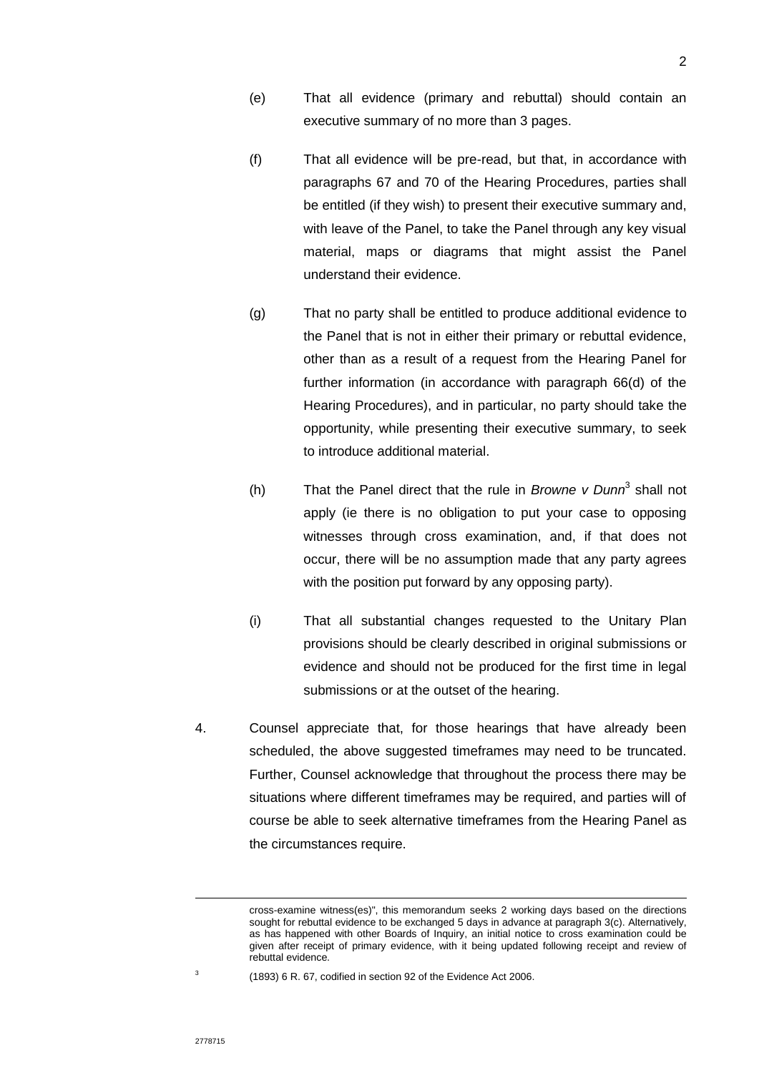- (e) That all evidence (primary and rebuttal) should contain an executive summary of no more than 3 pages.
- (f) That all evidence will be pre-read, but that, in accordance with paragraphs 67 and 70 of the Hearing Procedures, parties shall be entitled (if they wish) to present their executive summary and, with leave of the Panel, to take the Panel through any key visual material, maps or diagrams that might assist the Panel understand their evidence.
- (g) That no party shall be entitled to produce additional evidence to the Panel that is not in either their primary or rebuttal evidence, other than as a result of a request from the Hearing Panel for further information (in accordance with paragraph 66(d) of the Hearing Procedures), and in particular, no party should take the opportunity, while presenting their executive summary, to seek to introduce additional material.
- (h) That the Panel direct that the rule in *Browne v Dunn*<sup>3</sup> shall not apply (ie there is no obligation to put your case to opposing witnesses through cross examination, and, if that does not occur, there will be no assumption made that any party agrees with the position put forward by any opposing party).
- (i) That all substantial changes requested to the Unitary Plan provisions should be clearly described in original submissions or evidence and should not be produced for the first time in legal submissions or at the outset of the hearing.
- 4. Counsel appreciate that, for those hearings that have already been scheduled, the above suggested timeframes may need to be truncated. Further, Counsel acknowledge that throughout the process there may be situations where different timeframes may be required, and parties will of course be able to seek alternative timeframes from the Hearing Panel as the circumstances require.

 $\overline{a}$ 

cross-examine witness(es)", this memorandum seeks 2 working days based on the directions sought for rebuttal evidence to be exchanged 5 days in advance at paragraph 3(c). Alternatively, as has happened with other Boards of Inquiry, an initial notice to cross examination could be given after receipt of primary evidence, with it being updated following receipt and review of rebuttal evidence.

<sup>3</sup>

 <sup>(1893) 6</sup> R. 67, codified in section 92 of the Evidence Act 2006.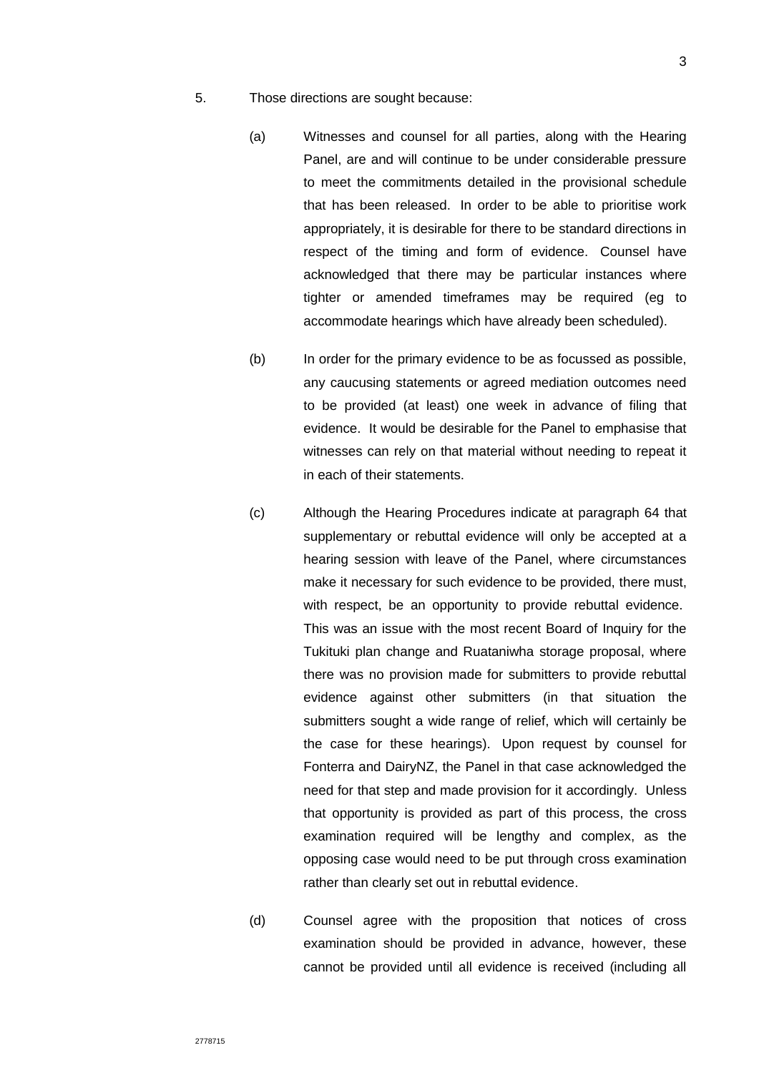- 5. Those directions are sought because:
	- (a) Witnesses and counsel for all parties, along with the Hearing Panel, are and will continue to be under considerable pressure to meet the commitments detailed in the provisional schedule that has been released. In order to be able to prioritise work appropriately, it is desirable for there to be standard directions in respect of the timing and form of evidence. Counsel have acknowledged that there may be particular instances where tighter or amended timeframes may be required (eg to accommodate hearings which have already been scheduled).
	- (b) In order for the primary evidence to be as focussed as possible, any caucusing statements or agreed mediation outcomes need to be provided (at least) one week in advance of filing that evidence. It would be desirable for the Panel to emphasise that witnesses can rely on that material without needing to repeat it in each of their statements.
	- (c) Although the Hearing Procedures indicate at paragraph 64 that supplementary or rebuttal evidence will only be accepted at a hearing session with leave of the Panel, where circumstances make it necessary for such evidence to be provided, there must, with respect, be an opportunity to provide rebuttal evidence. This was an issue with the most recent Board of Inquiry for the Tukituki plan change and Ruataniwha storage proposal, where there was no provision made for submitters to provide rebuttal evidence against other submitters (in that situation the submitters sought a wide range of relief, which will certainly be the case for these hearings). Upon request by counsel for Fonterra and DairyNZ, the Panel in that case acknowledged the need for that step and made provision for it accordingly. Unless that opportunity is provided as part of this process, the cross examination required will be lengthy and complex, as the opposing case would need to be put through cross examination rather than clearly set out in rebuttal evidence.
	- (d) Counsel agree with the proposition that notices of cross examination should be provided in advance, however, these cannot be provided until all evidence is received (including all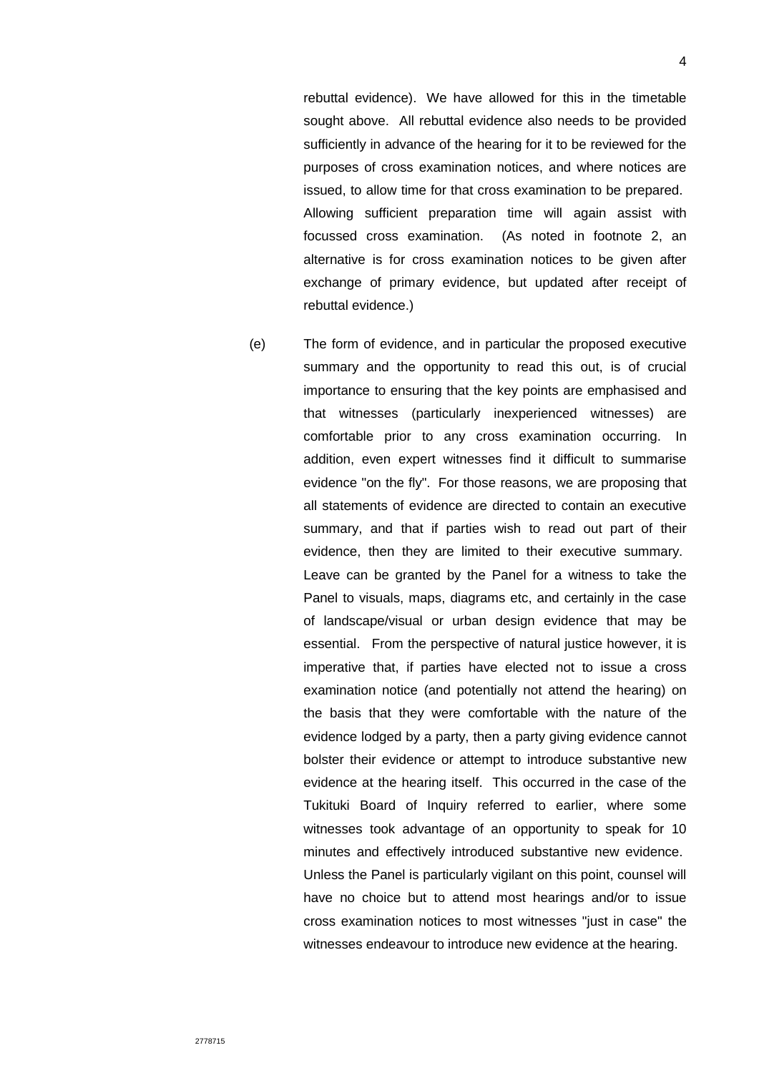rebuttal evidence). We have allowed for this in the timetable sought above. All rebuttal evidence also needs to be provided sufficiently in advance of the hearing for it to be reviewed for the purposes of cross examination notices, and where notices are issued, to allow time for that cross examination to be prepared. Allowing sufficient preparation time will again assist with focussed cross examination. (As noted in footnote 2, an alternative is for cross examination notices to be given after exchange of primary evidence, but updated after receipt of rebuttal evidence.)

(e) The form of evidence, and in particular the proposed executive summary and the opportunity to read this out, is of crucial importance to ensuring that the key points are emphasised and that witnesses (particularly inexperienced witnesses) are comfortable prior to any cross examination occurring. In addition, even expert witnesses find it difficult to summarise evidence "on the fly". For those reasons, we are proposing that all statements of evidence are directed to contain an executive summary, and that if parties wish to read out part of their evidence, then they are limited to their executive summary. Leave can be granted by the Panel for a witness to take the Panel to visuals, maps, diagrams etc, and certainly in the case of landscape/visual or urban design evidence that may be essential. From the perspective of natural justice however, it is imperative that, if parties have elected not to issue a cross examination notice (and potentially not attend the hearing) on the basis that they were comfortable with the nature of the evidence lodged by a party, then a party giving evidence cannot bolster their evidence or attempt to introduce substantive new evidence at the hearing itself. This occurred in the case of the Tukituki Board of Inquiry referred to earlier, where some witnesses took advantage of an opportunity to speak for 10 minutes and effectively introduced substantive new evidence. Unless the Panel is particularly vigilant on this point, counsel will have no choice but to attend most hearings and/or to issue cross examination notices to most witnesses "just in case" the witnesses endeavour to introduce new evidence at the hearing.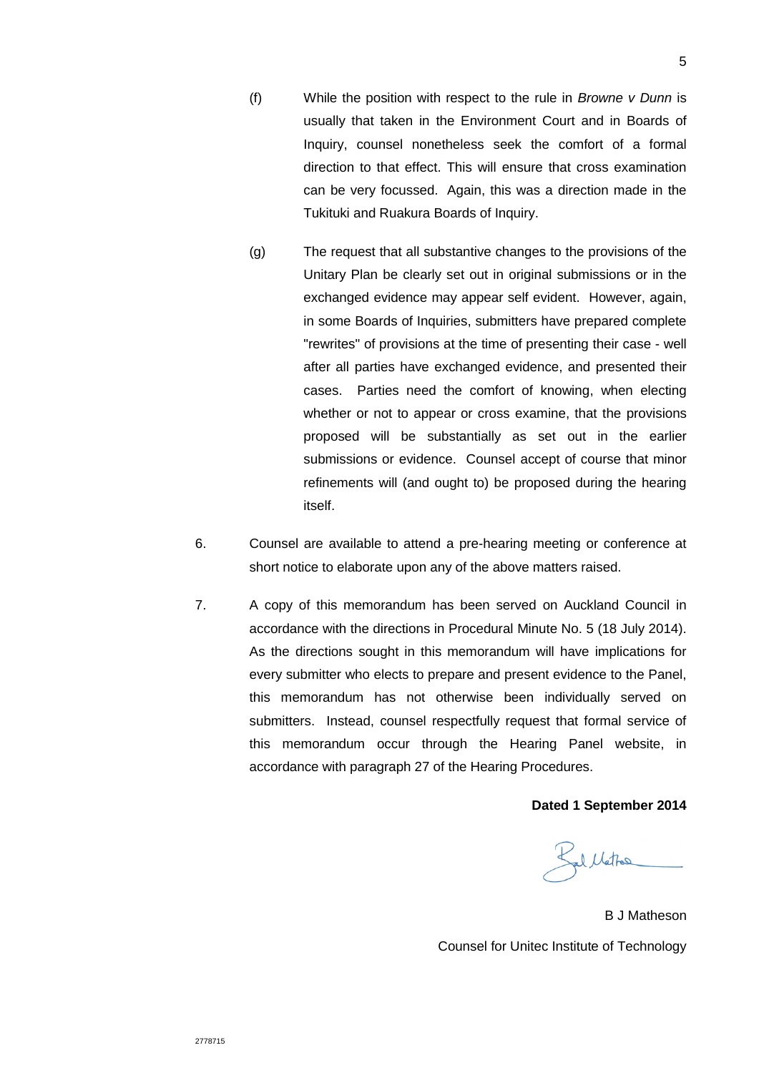- 5
- (f) While the position with respect to the rule in *Browne v Dunn* is usually that taken in the Environment Court and in Boards of Inquiry, counsel nonetheless seek the comfort of a formal direction to that effect. This will ensure that cross examination can be very focussed. Again, this was a direction made in the Tukituki and Ruakura Boards of Inquiry.
- (g) The request that all substantive changes to the provisions of the Unitary Plan be clearly set out in original submissions or in the exchanged evidence may appear self evident. However, again, in some Boards of Inquiries, submitters have prepared complete "rewrites" of provisions at the time of presenting their case - well after all parties have exchanged evidence, and presented their cases. Parties need the comfort of knowing, when electing whether or not to appear or cross examine, that the provisions proposed will be substantially as set out in the earlier submissions or evidence. Counsel accept of course that minor refinements will (and ought to) be proposed during the hearing itself.
- 6. Counsel are available to attend a pre-hearing meeting or conference at short notice to elaborate upon any of the above matters raised.
- 7. A copy of this memorandum has been served on Auckland Council in accordance with the directions in Procedural Minute No. 5 (18 July 2014). As the directions sought in this memorandum will have implications for every submitter who elects to prepare and present evidence to the Panel, this memorandum has not otherwise been individually served on submitters. Instead, counsel respectfully request that formal service of this memorandum occur through the Hearing Panel website, in accordance with paragraph 27 of the Hearing Procedures.

#### **Dated 1 September 2014**

Ballattes

B J Matheson Counsel for Unitec Institute of Technology